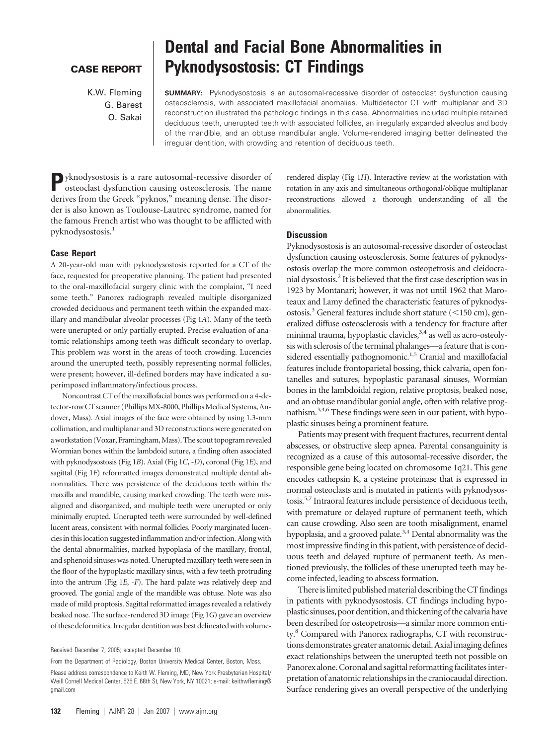## **CASE REPORT**

K.W. Fleming G. Barest O. Sakai

# **Dental and Facial Bone Abnormalities in Pyknodysostosis: CT Findings**

**SUMMARY:** Pyknodysostosis is an autosomal-recessive disorder of osteoclast dysfunction causing osteosclerosis, with associated maxillofacial anomalies. Multidetector CT with multiplanar and 3D reconstruction illustrated the pathologic findings in this case. Abnormalities included multiple retained deciduous teeth, unerupted teeth with associated follicles, an irregularly expanded alveolus and body of the mandible, and an obtuse mandibular angle. Volume-rendered imaging better delineated the irregular dentition, with crowding and retention of deciduous teeth.

**P**yknodysostosis is a rare autosomal-recessive disorder of osteoclast dysfunction causing osteosclerosis. The name derives from the Greek "pyknos," meaning dense. The disorder is also known as Toulouse-Lautrec syndrome, named for the famous French artist who was thought to be afflicted with pyknodysostosis.1

### **Case Report**

A 20-year-old man with pyknodysostosis reported for a CT of the face, requested for preoperative planning. The patient had presented to the oral-maxillofacial surgery clinic with the complaint, "I need some teeth." Panorex radiograph revealed multiple disorganized crowded deciduous and permanent teeth within the expanded maxillary and mandibular alveolar processes (Fig 1*A*). Many of the teeth were unerupted or only partially erupted. Precise evaluation of anatomic relationships among teeth was difficult secondary to overlap. This problem was worst in the areas of tooth crowding. Lucencies around the unerupted teeth, possibly representing normal follicles, were present; however, ill-defined borders may have indicated a superimposed inflammatory/infectious process.

Noncontrast CT of the maxillofacial bones was performed on a 4-detector-row CT scanner (Phillips MX-8000, Phillips Medical Systems, Andover, Mass). Axial images of the face were obtained by using 1.3-mm collimation, and multiplanar and 3D reconstructions were generated on a workstation (Voxar, Framingham, Mass). The scout topogram revealed Wormian bones within the lambdoid suture, a finding often associated with pyknodysostosis (Fig 1*B*). Axial (Fig 1*C*, -*D*), coronal (Fig 1*E*), and sagittal (Fig 1*F*) reformatted images demonstrated multiple dental abnormalities. There was persistence of the deciduous teeth within the maxilla and mandible, causing marked crowding. The teeth were misaligned and disorganized, and multiple teeth were unerupted or only minimally erupted. Unerupted teeth were surrounded by well-defined lucent areas, consistent with normal follicles. Poorly marginated lucencies in this location suggested inflammation and/or infection. Along with the dental abnormalities, marked hypoplasia of the maxillary, frontal, and sphenoid sinuses was noted. Unerupted maxillary teeth were seen in the floor of the hypoplastic maxillary sinus, with a few teeth protruding into the antrum (Fig 1*E*, -*F*). The hard palate was relatively deep and grooved. The gonial angle of the mandible was obtuse. Note was also made of mild proptosis. Sagittal reformatted images revealed a relatively beaked nose. The surface-rendered 3D image (Fig 1*G*) gave an overview of these deformities. Irregular dentition was best delineated with volume-

From the Department of Radiology, Boston University Medical Center, Boston, Mass.

rendered display (Fig 1*H*). Interactive review at the workstation with rotation in any axis and simultaneous orthogonal/oblique multiplanar reconstructions allowed a thorough understanding of all the abnormalities.

#### **Discussion**

Pyknodysostosis is an autosomal-recessive disorder of osteoclast dysfunction causing osteosclerosis. Some features of pyknodysostosis overlap the more common osteopetrosis and cleidocranial dysostosis.2 It is believed that the first case description was in 1923 by Montanari; however, it was not until 1962 that Maroteaux and Lamy defined the characteristic features of pyknodysostosis.<sup>3</sup> General features include short stature  $(<150$  cm), generalized diffuse osteosclerosis with a tendency for fracture after minimal trauma, hypoplastic clavicles,  $3,4$  as well as acro-osteolysis with sclerosis of the terminal phalanges—a feature that is considered essentially pathognomonic.<sup>1,5</sup> Cranial and maxillofacial features include frontoparietal bossing, thick calvaria, open fontanelles and sutures, hypoplastic paranasal sinuses, Wormian bones in the lambdoidal region, relative proptosis, beaked nose, and an obtuse mandibular gonial angle, often with relative prognathism.<sup>3,4,6</sup> These findings were seen in our patient, with hypoplastic sinuses being a prominent feature.

Patients may present with frequent fractures, recurrent dental abscesses, or obstructive sleep apnea. Parental consanguinity is recognized as a cause of this autosomal-recessive disorder, the responsible gene being located on chromosome 1q21. This gene encodes cathepsin K, a cysteine proteinase that is expressed in normal osteoclasts and is mutated in patients with pyknodysostosis.5,7 Intraoral features include persistence of deciduous teeth, with premature or delayed rupture of permanent teeth, which can cause crowding. Also seen are tooth misalignment, enamel hypoplasia, and a grooved palate.<sup>3,4</sup> Dental abnormality was the most impressive finding in this patient, with persistence of deciduous teeth and delayed rupture of permanent teeth. As mentioned previously, the follicles of these unerupted teeth may become infected, leading to abscess formation.

There is limited published material describing the CT findings in patients with pyknodysostosis. CT findings including hypoplastic sinuses, poor dentition, and thickening of the calvaria have been described for osteopetrosis—a similar more common entity.<sup>8</sup> Compared with Panorex radiographs, CT with reconstructions demonstrates greater anatomic detail. Axialimaging defines exact relationships between the unerupted teeth not possible on Panorex alone. Coronal and sagittal reformatting facilitates interpretation of anatomic relationships in the craniocaudal direction. Surface rendering gives an overall perspective of the underlying

Received December 7, 2005; accepted December 10.

Please address correspondence to Keith W. Fleming, MD, New York Presbyterian Hospital/ Weill Cornell Medical Center, 525 E. 68th St, New York, NY 10021; e-mail: keithwfleming@ gmail.com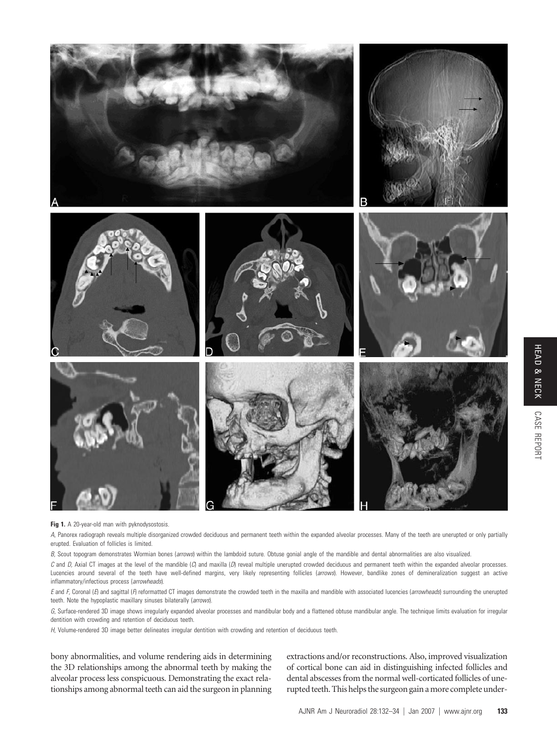

**Fig 1.** A 20-year-old man with pyknodysostosis.

*A,* Panorex radiograph reveals multiple disorganized crowded deciduous and permanent teeth within the expanded alveolar processes. Many of the teeth are unerupted or only partially erupted. Evaluation of follicles is limited.

*B,* Scout topogram demonstrates Wormian bones (*arrows*) within the lambdoid suture. Obtuse gonial angle of the mandible and dental abnormalities are also visualized.

*C* and *D,* Axial CT images at the level of the mandible (*C*) and maxilla (*D*) reveal multiple unerupted crowded deciduous and permanent teeth within the expanded alveolar processes. Lucencies around several of the teeth have well-defined margins, very likely representing follicles (*arrows*). However, bandlike zones of demineralization suggest an active inflammatory/infectious process (*arrowheads*).

*E* and *F,* Coronal (*E*) and sagittal (*F*) reformatted CT images demonstrate the crowded teeth in the maxilla and mandible with associated lucencies (*arrowheads*) surrounding the unerupted teeth. Note the hypoplastic maxillary sinuses bilaterally (*arrows*).

*G,* Surface-rendered 3D image shows irregularly expanded alveolar processes and mandibular body and a flattened obtuse mandibular angle. The technique limits evaluation for irregular dentition with crowding and retention of deciduous teeth.

*H,* Volume-rendered 3D image better delineates irregular dentition with crowding and retention of deciduous teeth.

bony abnormalities, and volume rendering aids in determining the 3D relationships among the abnormal teeth by making the alveolar process less conspicuous. Demonstrating the exact relationships among abnormal teeth can aid the surgeon in planning extractions and/or reconstructions. Also, improved visualization of cortical bone can aid in distinguishing infected follicles and dental abscesses from the normal well-corticated follicles of unerupted teeth. This helps the surgeon gain amore complete under